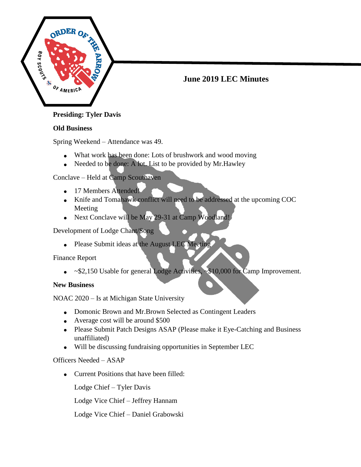

# **June 2019 LEC Minutes**

# **Old Business**

Spring Weekend – Attendance was 49.

- What work has been done: Lots of brushwork and wood moving
- Needed to be done: A lot. List to be provided by Mr. Hawley

Conclave – Held at Camp Scouthaven

- 17 Members Attended!
- Knife and Tomahawk conflict will need to be addressed at the upcoming COC Meeting
- Next Conclave will be May 29-31 at Camp Woodland!

Development of Lodge Chant/Song

• Please Submit ideas at the August LEC Meeting

Finance Report

• ~\$2,150 Usable for general Lodge Activities, ~\$10,000 for Camp Improvement.

# **New Business**

NOAC 2020 – Is at Michigan State University

- Domonic Brown and Mr.Brown Selected as Contingent Leaders
- Average cost will be around \$500
- Please Submit Patch Designs ASAP (Please make it Eye-Catching and Business unaffiliated)
- Will be discussing fundraising opportunities in September LEC

# Officers Needed – ASAP

• Current Positions that have been filled:

Lodge Chief – Tyler Davis

Lodge Vice Chief – Jeffrey Hannam

Lodge Vice Chief – Daniel Grabowski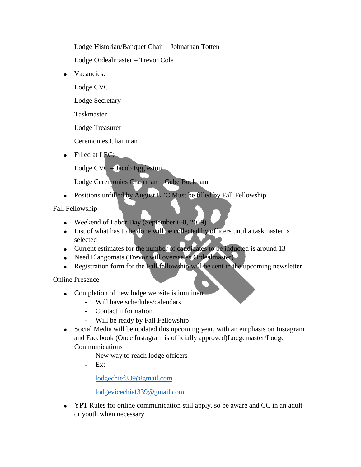Lodge Historian/Banquet Chair – Johnathan Totten

Lodge Ordealmaster – Trevor Cole

• Vacancies:

Lodge CVC

Lodge Secretary

Taskmaster

Lodge Treasurer

Ceremonies Chairman

• Filled at LEC:

Lodge CVC – Jacob Eggleston

Lodge Ceremonies Chairman – Gabe Bucknam

Positions unfilled by August LEC Must be filled by Fall Fellowship

Fall Fellowship

- Weekend of Labor Day (September 6-8, 2019)
- List of what has to be done will be collected by officers until a taskmaster is selected
- Current estimates for the number of candidates to be inducted is around 13
- Need Elangomats (Trevor will oversee as Ordealmaster)
- Registration form for the Fall fellowship will be sent in the upcoming newsletter

Online Presence

- Completion of new lodge website is imminent
	- Will have schedules/calendars
	- Contact information
	- Will be ready by Fall Fellowship
- Social Media will be updated this upcoming year, with an emphasis on Instagram and Facebook (Once Instagram is officially approved)Lodgemaster/Lodge Communications
	- New way to reach lodge officers
	- Ex:

[lodgechief339@gmail.com](mailto:lodgechief339@gmail.com)

[lodgevicechief339@gmail.com](mailto:lodgevicechief339@gmail.com)

• YPT Rules for online communication still apply, so be aware and CC in an adult or youth when necessary